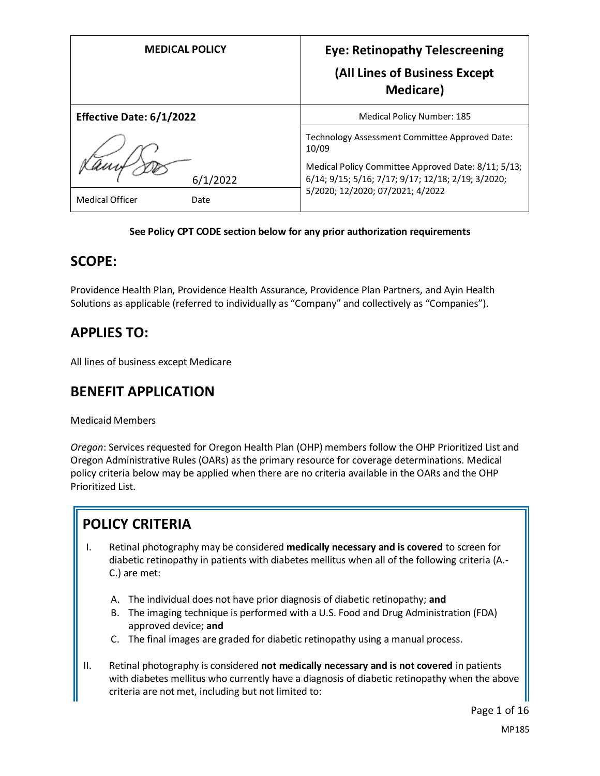| <b>MEDICAL POLICY</b>    | <b>Eye: Retinopathy Telescreening</b><br>(All Lines of Business Except<br><b>Medicare</b> )               |
|--------------------------|-----------------------------------------------------------------------------------------------------------|
| Effective Date: 6/1/2022 | <b>Medical Policy Number: 185</b>                                                                         |
|                          | Technology Assessment Committee Approved Date:<br>10/09                                                   |
| 6/1/2022                 | Medical Policy Committee Approved Date: 8/11; 5/13;<br>6/14; 9/15; 5/16; 7/17; 9/17; 12/18; 2/19; 3/2020; |
| Medical Officer<br>Date  | 5/2020; 12/2020; 07/2021; 4/2022                                                                          |

#### **See Policy CPT CODE section below for any prior authorization requirements**

## **SCOPE:**

Providence Health Plan, Providence Health Assurance, Providence Plan Partners, and Ayin Health Solutions as applicable (referred to individually as "Company" and collectively as "Companies").

# **APPLIES TO:**

All lines of business except Medicare

# **BENEFIT APPLICATION**

### Medicaid Members

*Oregon*: Services requested for Oregon Health Plan (OHP) members follow the OHP Prioritized List and Oregon Administrative Rules (OARs) as the primary resource for coverage determinations. Medical policy criteria below may be applied when there are no criteria available in the OARs and the OHP Prioritized List.

# **POLICY CRITERIA**

- I. Retinal photography may be considered **medically necessary and is covered** to screen for diabetic retinopathy in patients with diabetes mellitus when all of the following criteria (A.- C.) are met:
	- A. The individual does not have prior diagnosis of diabetic retinopathy; **and**
	- B. The imaging technique is performed with a U.S. Food and Drug Administration (FDA) approved device; **and**
	- C. The final images are graded for diabetic retinopathy using a manual process.
- II. Retinal photography is considered **not medically necessary and is not covered** in patients with diabetes mellitus who currently have a diagnosis of diabetic retinopathy when the above criteria are not met, including but not limited to: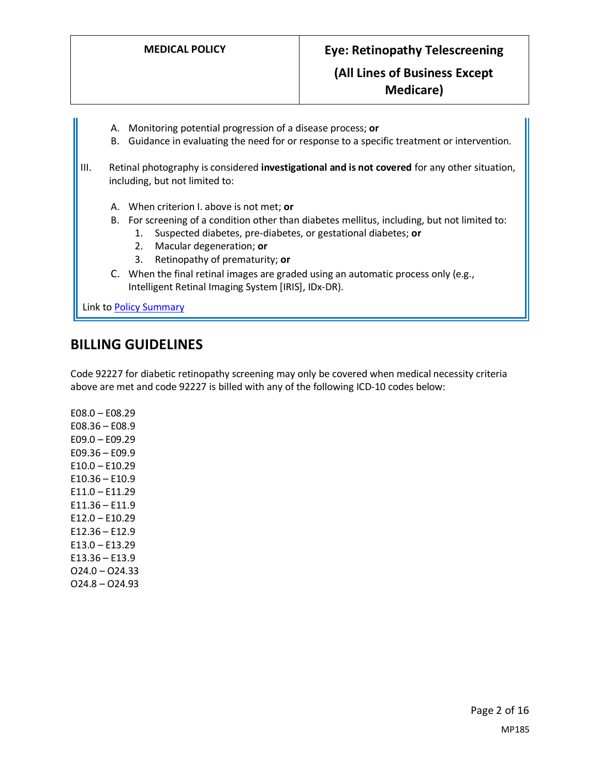- A. Monitoring potential progression of a disease process; **or**
- B. Guidance in evaluating the need for or response to a specific treatment or intervention.
- III. Retinal photography is considered **investigational and is not covered** for any other situation, including, but not limited to:
	- A. When criterion I. above is not met; **or**
	- B. For screening of a condition other than diabetes mellitus, including, but not limited to:
		- 1. Suspected diabetes, pre-diabetes, or gestational diabetes; **or**
		- 2. Macular degeneration; **or**
		- 3. Retinopathy of prematurity; **or**
	- C. When the final retinal images are graded using an automatic process only (e.g., Intelligent Retinal Imaging System [IRIS], IDx-DR).

Link to Policy Summary

# **BILLING GUIDELINES**

Code 92227 for diabetic retinopathy screening may only be covered when medical necessity criteria above are met and code 92227 is billed with any of the following ICD-10 codes below:

E08.0 – E08.29 E08.36 – E08.9 E09.0 – E09.29 E09.36 – E09.9 E10.0 – E10.29  $E10.36 - E10.9$ E11.0 – E11.29 E11.36 – E11.9 E12.0 – E10.29 E12.36 – E12.9 E13.0 – E13.29 E13.36 – E13.9 O24.0 – O24.33 O24.8 – O24.93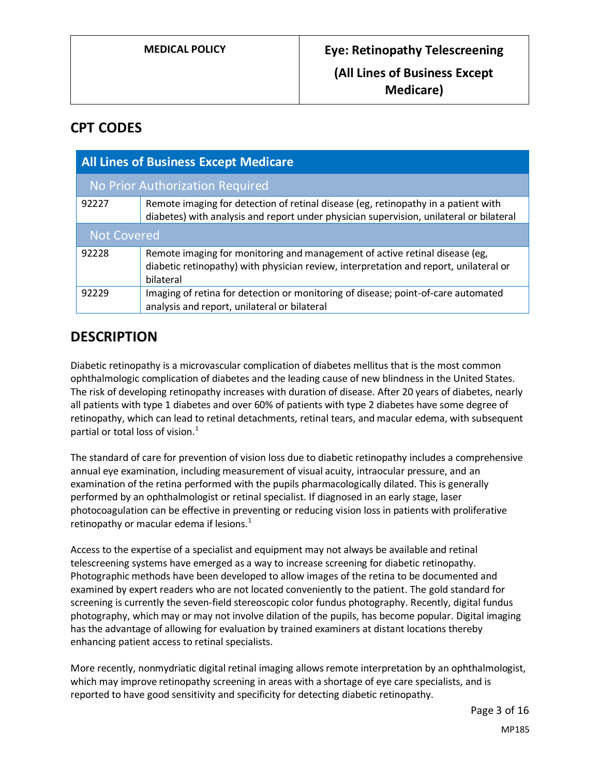# **CPT CODES**

| <b>All Lines of Business Except Medicare</b> |                                                                                                                                                                                   |
|----------------------------------------------|-----------------------------------------------------------------------------------------------------------------------------------------------------------------------------------|
| No Prior Authorization Required              |                                                                                                                                                                                   |
| 92227                                        | Remote imaging for detection of retinal disease (eg, retinopathy in a patient with<br>diabetes) with analysis and report under physician supervision, unilateral or bilateral     |
| <b>Not Covered</b>                           |                                                                                                                                                                                   |
| 92228                                        | Remote imaging for monitoring and management of active retinal disease (eg,<br>diabetic retinopathy) with physician review, interpretation and report, unilateral or<br>bilateral |
| 92229                                        | Imaging of retina for detection or monitoring of disease; point-of-care automated<br>analysis and report, unilateral or bilateral                                                 |

# **DESCRIPTION**

Diabetic retinopathy is a microvascular complication of diabetes mellitus that is the most common ophthalmologic complication of diabetes and the leading cause of new blindness in the United States. The risk of developing retinopathy increases with duration of disease. After 20 years of diabetes, nearly all patients with type 1 diabetes and over 60% of patients with type 2 diabetes have some degree of retinopathy, which can lead to retinal detachments, retinal tears, and macular edema, with subsequent partial or total loss of vision. $<sup>1</sup>$ </sup>

The standard of care for prevention of vision loss due to diabetic retinopathy includes a comprehensive annual eye examination, including measurement of visual acuity, intraocular pressure, and an examination of the retina performed with the pupils pharmacologically dilated. This is generally performed by an ophthalmologist or retinal specialist. If diagnosed in an early stage, laser photocoagulation can be effective in preventing or reducing vision loss in patients with proliferative retinopathy or macular edema if lesions. $1$ 

Access to the expertise of a specialist and equipment may not always be available and retinal telescreening systems have emerged as a way to increase screening for diabetic retinopathy. Photographic methods have been developed to allow images of the retina to be documented and examined by expert readers who are not located conveniently to the patient. The gold standard for screening is currently the seven-field stereoscopic color fundus photography. Recently, digital fundus photography, which may or may not involve dilation of the pupils, has become popular. Digital imaging has the advantage of allowing for evaluation by trained examiners at distant locations thereby enhancing patient access to retinal specialists.

More recently, nonmydriatic digital retinal imaging allows remote interpretation by an ophthalmologist, which may improve retinopathy screening in areas with a shortage of eye care specialists, and is reported to have good sensitivity and specificity for detecting diabetic retinopathy.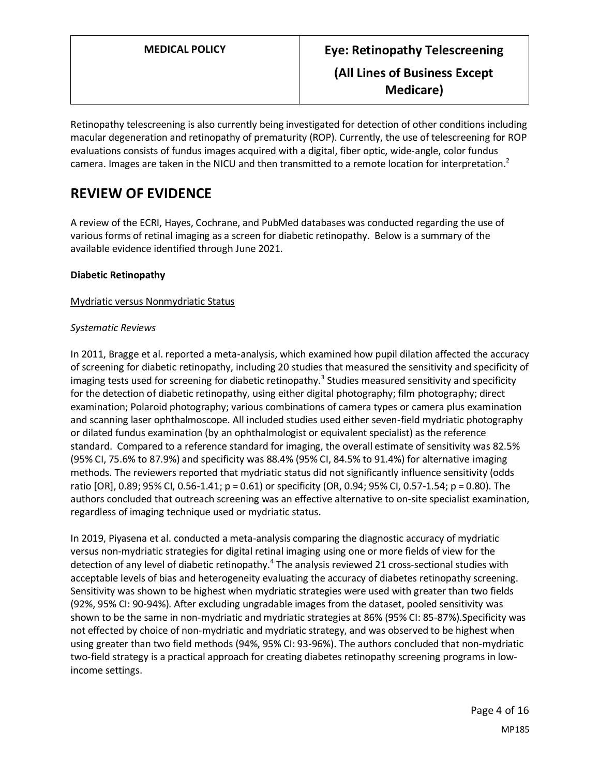Retinopathy telescreening is also currently being investigated for detection of other conditions including macular degeneration and retinopathy of prematurity (ROP). Currently, the use of telescreening for ROP evaluations consists of fundus images acquired with a digital, fiber optic, wide-angle, color fundus camera. Images are taken in the NICU and then transmitted to a remote location for interpretation.<sup>2</sup>

# **REVIEW OF EVIDENCE**

A review of the ECRI, Hayes, Cochrane, and PubMed databases was conducted regarding the use of various forms of retinal imaging as a screen for diabetic retinopathy. Below is a summary of the available evidence identified through June 2021.

### **Diabetic Retinopathy**

#### Mydriatic versus Nonmydriatic Status

#### *Systematic Reviews*

In 2011, Bragge et al. reported a meta-analysis, which examined how pupil dilation affected the accuracy of screening for diabetic retinopathy, including 20 studies that measured the sensitivity and specificity of imaging tests used for screening for diabetic retinopathy.<sup>3</sup> Studies measured sensitivity and specificity for the detection of diabetic retinopathy, using either digital photography; film photography; direct examination; Polaroid photography; various combinations of camera types or camera plus examination and scanning laser ophthalmoscope. All included studies used either seven-field mydriatic photography or dilated fundus examination (by an ophthalmologist or equivalent specialist) as the reference standard. Compared to a reference standard for imaging, the overall estimate of sensitivity was 82.5% (95% CI, 75.6% to 87.9%) and specificity was 88.4% (95% CI, 84.5% to 91.4%) for alternative imaging methods. The reviewers reported that mydriatic status did not significantly influence sensitivity (odds ratio [OR], 0.89; 95% CI, 0.56-1.41; p = 0.61) or specificity (OR, 0.94; 95% CI, 0.57-1.54; p = 0.80). The authors concluded that outreach screening was an effective alternative to on-site specialist examination, regardless of imaging technique used or mydriatic status.

In 2019, Piyasena et al. conducted a meta-analysis comparing the diagnostic accuracy of mydriatic versus non-mydriatic strategies for digital retinal imaging using one or more fields of view for the detection of any level of diabetic retinopathy.<sup>4</sup> The analysis reviewed 21 cross-sectional studies with acceptable levels of bias and heterogeneity evaluating the accuracy of diabetes retinopathy screening. Sensitivity was shown to be highest when mydriatic strategies were used with greater than two fields (92%, 95% CI: 90-94%). After excluding ungradable images from the dataset, pooled sensitivity was shown to be the same in non-mydriatic and mydriatic strategies at 86% (95% CI: 85-87%).Specificity was not effected by choice of non-mydriatic and mydriatic strategy, and was observed to be highest when using greater than two field methods (94%, 95% CI: 93-96%). The authors concluded that non-mydriatic two-field strategy is a practical approach for creating diabetes retinopathy screening programs in lowincome settings.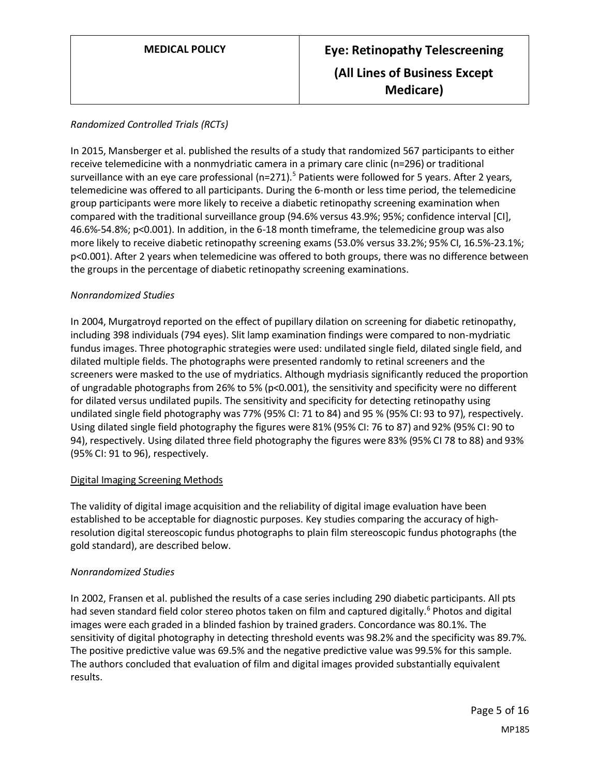### *Randomized Controlled Trials (RCTs)*

In 2015, Mansberger et al. published the results of a study that randomized 567 participants to either receive telemedicine with a nonmydriatic camera in a primary care clinic (n=296) or traditional surveillance with an eye care professional (n=271).<sup>5</sup> Patients were followed for 5 years. After 2 years, telemedicine was offered to all participants. During the 6-month or less time period, the telemedicine group participants were more likely to receive a diabetic retinopathy screening examination when compared with the traditional surveillance group (94.6% versus 43.9%; 95%; confidence interval [CI], 46.6%-54.8%; p<0.001). In addition, in the 6-18 month timeframe, the telemedicine group was also more likely to receive diabetic retinopathy screening exams (53.0% versus 33.2%; 95% CI, 16.5%-23.1%; p<0.001). After 2 years when telemedicine was offered to both groups, there was no difference between the groups in the percentage of diabetic retinopathy screening examinations.

#### *Nonrandomized Studies*

In 2004, Murgatroyd reported on the effect of pupillary dilation on screening for diabetic retinopathy, including 398 individuals (794 eyes). Slit lamp examination findings were compared to non-mydriatic fundus images. Three photographic strategies were used: undilated single field, dilated single field, and dilated multiple fields. The photographs were presented randomly to retinal screeners and the screeners were masked to the use of mydriatics. Although mydriasis significantly reduced the proportion of ungradable photographs from 26% to 5% (p<0.001), the sensitivity and specificity were no different for dilated versus undilated pupils. The sensitivity and specificity for detecting retinopathy using undilated single field photography was 77% (95% CI: 71 to 84) and 95 % (95% CI: 93 to 97), respectively. Using dilated single field photography the figures were 81% (95% CI: 76 to 87) and 92% (95% CI: 90 to 94), respectively. Using dilated three field photography the figures were 83% (95% CI 78 to 88) and 93% (95% CI: 91 to 96), respectively.

#### Digital Imaging Screening Methods

The validity of digital image acquisition and the reliability of digital image evaluation have been established to be acceptable for diagnostic purposes. Key studies comparing the accuracy of highresolution digital stereoscopic fundus photographs to plain film stereoscopic fundus photographs (the gold standard), are described below.

#### *Nonrandomized Studies*

In 2002, Fransen et al. published the results of a case series including 290 diabetic participants. All pts had seven standard field color stereo photos taken on film and captured digitally.<sup>6</sup> Photos and digital images were each graded in a blinded fashion by trained graders. Concordance was 80.1%. The sensitivity of digital photography in detecting threshold events was 98.2% and the specificity was 89.7%. The positive predictive value was 69.5% and the negative predictive value was 99.5% for this sample. The authors concluded that evaluation of film and digital images provided substantially equivalent results.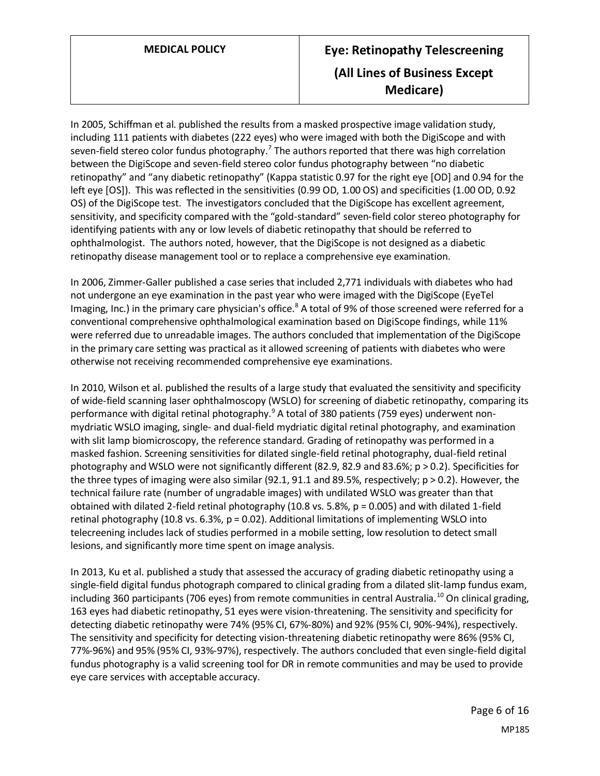# **MEDICAL POLICY Eye: Retinopathy Telescreening (All Lines of Business Except Medicare)**

In 2005, Schiffman et al. published the results from a masked prospective image validation study, including 111 patients with diabetes (222 eyes) who were imaged with both the DigiScope and with seven-field stereo color fundus photography.<sup>7</sup> The authors reported that there was high correlation between the DigiScope and seven-field stereo color fundus photography between "no diabetic retinopathy" and "any diabetic retinopathy" (Kappa statistic 0.97 for the right eye [OD] and 0.94 for the left eye [OS]). This was reflected in the sensitivities (0.99 OD, 1.00 OS) and specificities (1.00 OD, 0.92 OS) of the DigiScope test. The investigators concluded that the DigiScope has excellent agreement, sensitivity, and specificity compared with the "gold-standard" seven-field color stereo photography for identifying patients with any or low levels of diabetic retinopathy that should be referred to ophthalmologist. The authors noted, however, that the DigiScope is not designed as a diabetic retinopathy disease management tool or to replace a comprehensive eye examination.

In 2006, Zimmer-Galler published a case series that included 2,771 individuals with diabetes who had not undergone an eye examination in the past year who were imaged with the DigiScope (EyeTel Imaging, Inc.) in the primary care physician's office.<sup>8</sup> A total of 9% of those screened were referred for a conventional comprehensive ophthalmological examination based on DigiScope findings, while 11% were referred due to unreadable images. The authors concluded that implementation of the DigiScope in the primary care setting was practical as it allowed screening of patients with diabetes who were otherwise not receiving recommended comprehensive eye examinations.

In 2010, Wilson et al. published the results of a large study that evaluated the sensitivity and specificity of wide-field scanning laser ophthalmoscopy (WSLO) for screening of diabetic retinopathy, comparing its performance with digital retinal photography.<sup>9</sup> A total of 380 patients (759 eyes) underwent nonmydriatic WSLO imaging, single- and dual-field mydriatic digital retinal photography, and examination with slit lamp biomicroscopy, the reference standard. Grading of retinopathy was performed in a masked fashion. Screening sensitivities for dilated single-field retinal photography, dual-field retinal photography and WSLO were not significantly different (82.9, 82.9 and 83.6%; p > 0.2). Specificities for the three types of imaging were also similar (92.1, 91.1 and 89.5%, respectively; p > 0.2). However, the technical failure rate (number of ungradable images) with undilated WSLO was greater than that obtained with dilated 2-field retinal photography (10.8 vs. 5.8%,  $p = 0.005$ ) and with dilated 1-field retinal photography (10.8 vs. 6.3%, p = 0.02). Additional limitations of implementing WSLO into telecreening includes lack of studies performed in a mobile setting, low resolution to detect small lesions, and significantly more time spent on image analysis.

In 2013, Ku et al. published a study that assessed the accuracy of grading diabetic retinopathy using a single-field digital fundus photograph compared to clinical grading from a dilated slit-lamp fundus exam, including 360 participants (706 eyes) from remote communities in central Australia.<sup>10</sup> On clinical grading, 163 eyes had diabetic retinopathy, 51 eyes were vision-threatening. The sensitivity and specificity for detecting diabetic retinopathy were 74% (95% CI, 67%-80%) and 92% (95% CI, 90%-94%), respectively. The sensitivity and specificity for detecting vision-threatening diabetic retinopathy were 86% (95% CI, 77%-96%) and 95% (95% CI, 93%-97%), respectively. The authors concluded that even single-field digital fundus photography is a valid screening tool for DR in remote communities and may be used to provide eye care services with acceptable accuracy.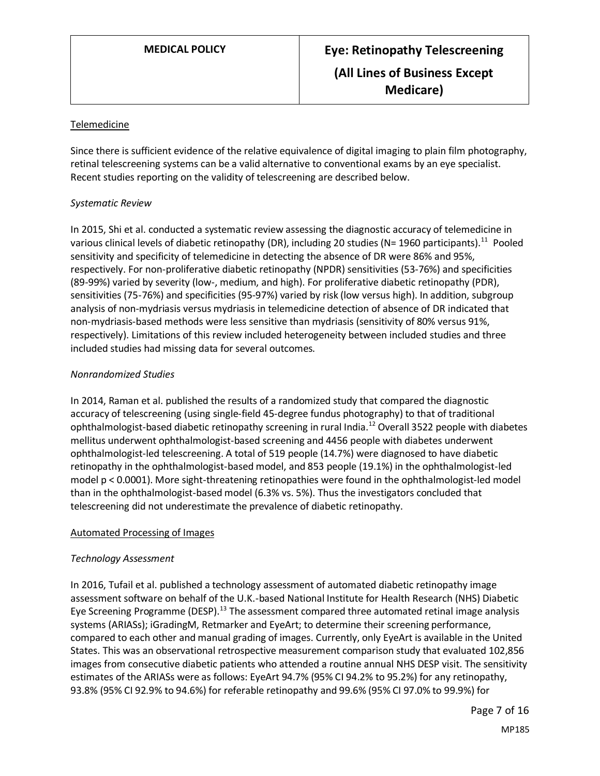### Telemedicine

Since there is sufficient evidence of the relative equivalence of digital imaging to plain film photography, retinal telescreening systems can be a valid alternative to conventional exams by an eye specialist. Recent studies reporting on the validity of telescreening are described below.

#### *Systematic Review*

In 2015, Shi et al. conducted a systematic review assessing the diagnostic accuracy of telemedicine in various clinical levels of diabetic retinopathy (DR), including 20 studies (N= 1960 participants).<sup>11</sup> Pooled sensitivity and specificity of telemedicine in detecting the absence of DR were 86% and 95%, respectively. For non-proliferative diabetic retinopathy (NPDR) sensitivities (53-76%) and specificities (89-99%) varied by severity (low-, medium, and high). For proliferative diabetic retinopathy (PDR), sensitivities (75-76%) and specificities (95-97%) varied by risk (low versus high). In addition, subgroup analysis of non-mydriasis versus mydriasis in telemedicine detection of absence of DR indicated that non-mydriasis-based methods were less sensitive than mydriasis (sensitivity of 80% versus 91%, respectively). Limitations of this review included heterogeneity between included studies and three included studies had missing data for several outcomes.

### *Nonrandomized Studies*

In 2014, Raman et al. published the results of a randomized study that compared the diagnostic accuracy of telescreening (using single-field 45-degree fundus photography) to that of traditional ophthalmologist-based diabetic retinopathy screening in rural India.<sup>12</sup> Overall 3522 people with diabetes mellitus underwent ophthalmologist-based screening and 4456 people with diabetes underwent ophthalmologist-led telescreening. A total of 519 people (14.7%) were diagnosed to have diabetic retinopathy in the ophthalmologist-based model, and 853 people (19.1%) in the ophthalmologist-led model p < 0.0001). More sight-threatening retinopathies were found in the ophthalmologist-led model than in the ophthalmologist-based model (6.3% vs. 5%). Thus the investigators concluded that telescreening did not underestimate the prevalence of diabetic retinopathy.

#### Automated Processing of Images

### *Technology Assessment*

In 2016, Tufail et al. published a technology assessment of automated diabetic retinopathy image assessment software on behalf of the U.K.-based National Institute for Health Research (NHS) Diabetic Eye Screening Programme (DESP).<sup>13</sup> The assessment compared three automated retinal image analysis systems (ARIASs); iGradingM, Retmarker and EyeArt; to determine their screening performance, compared to each other and manual grading of images. Currently, only EyeArt is available in the United States. This was an observational retrospective measurement comparison study that evaluated 102,856 images from consecutive diabetic patients who attended a routine annual NHS DESP visit. The sensitivity estimates of the ARIASs were as follows: EyeArt 94.7% (95% CI 94.2% to 95.2%) for any retinopathy, 93.8% (95% CI 92.9% to 94.6%) for referable retinopathy and 99.6% (95% CI 97.0% to 99.9%) for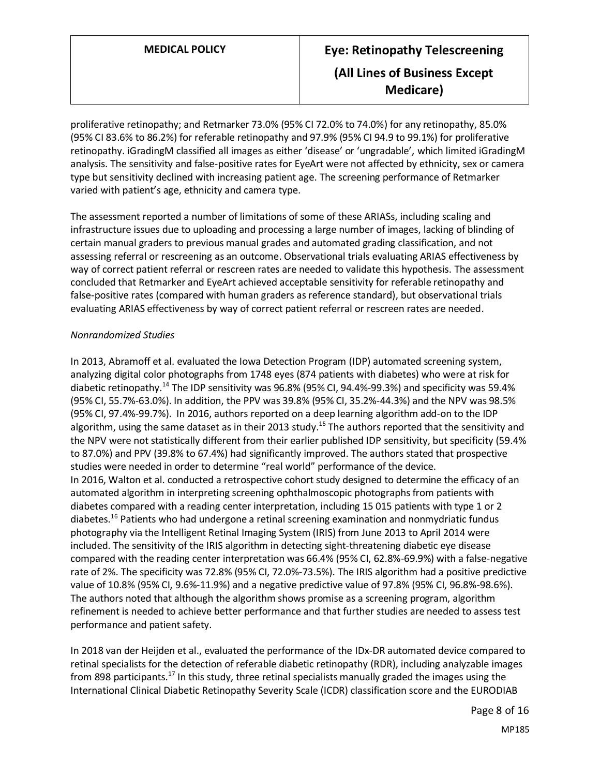proliferative retinopathy; and Retmarker 73.0% (95% CI 72.0% to 74.0%) for any retinopathy, 85.0% (95% CI 83.6% to 86.2%) for referable retinopathy and 97.9% (95% CI 94.9 to 99.1%) for proliferative retinopathy. iGradingM classified all images as either 'disease' or 'ungradable', which limited iGradingM analysis. The sensitivity and false-positive rates for EyeArt were not affected by ethnicity, sex or camera type but sensitivity declined with increasing patient age. The screening performance of Retmarker varied with patient's age, ethnicity and camera type.

The assessment reported a number of limitations of some of these ARIASs, including scaling and infrastructure issues due to uploading and processing a large number of images, lacking of blinding of certain manual graders to previous manual grades and automated grading classification, and not assessing referral or rescreening as an outcome. Observational trials evaluating ARIAS effectiveness by way of correct patient referral or rescreen rates are needed to validate this hypothesis. The assessment concluded that Retmarker and EyeArt achieved acceptable sensitivity for referable retinopathy and false-positive rates (compared with human graders as reference standard), but observational trials evaluating ARIAS effectiveness by way of correct patient referral or rescreen rates are needed.

#### *Nonrandomized Studies*

In 2013, Abramoff et al. evaluated the Iowa Detection Program (IDP) automated screening system, analyzing digital color photographs from 1748 eyes (874 patients with diabetes) who were at risk for diabetic retinopathy.<sup>14</sup> The IDP sensitivity was 96.8% (95% CI, 94.4%-99.3%) and specificity was 59.4% (95% CI, 55.7%-63.0%). In addition, the PPV was 39.8% (95% CI, 35.2%-44.3%) and the NPV was 98.5% (95% CI, 97.4%-99.7%). In 2016, authors reported on a deep learning algorithm add-on to the IDP algorithm, using the same dataset as in their 2013 study.<sup>15</sup> The authors reported that the sensitivity and the NPV were not statistically different from their earlier published IDP sensitivity, but specificity (59.4% to 87.0%) and PPV (39.8% to 67.4%) had significantly improved. The authors stated that prospective studies were needed in order to determine "real world" performance of the device. In 2016, Walton et al. conducted a retrospective cohort study designed to determine the efficacy of an automated algorithm in interpreting screening ophthalmoscopic photographs from patients with diabetes compared with a reading center interpretation, including 15 015 patients with type 1 or 2 diabetes.<sup>16</sup> Patients who had undergone a retinal screening examination and nonmydriatic fundus photography via the Intelligent Retinal Imaging System (IRIS) from June 2013 to April 2014 were included. The sensitivity of the IRIS algorithm in detecting sight-threatening diabetic eye disease compared with the reading center interpretation was 66.4% (95% CI, 62.8%-69.9%) with a false-negative rate of 2%. The specificity was 72.8% (95% CI, 72.0%-73.5%). The IRIS algorithm had a positive predictive value of 10.8% (95% CI, 9.6%-11.9%) and a negative predictive value of 97.8% (95% CI, 96.8%-98.6%). The authors noted that although the algorithm shows promise as a screening program, algorithm refinement is needed to achieve better performance and that further studies are needed to assess test performance and patient safety.

In 2018 van der Heijden et al., evaluated the performance of the IDx-DR automated device compared to retinal specialists for the detection of referable diabetic retinopathy (RDR), including analyzable images from 898 participants.<sup>17</sup> In this study, three retinal specialists manually graded the images using the International Clinical Diabetic Retinopathy Severity Scale (ICDR) classification score and the EURODIAB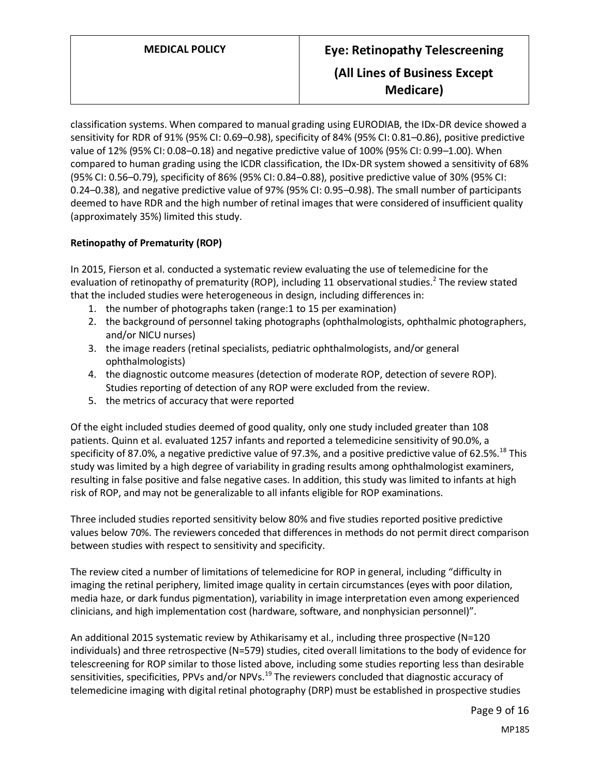classification systems. When compared to manual grading using EURODIAB, the IDx-DR device showed a sensitivity for RDR of 91% (95% CI: 0.69–0.98), specificity of 84% (95% CI: 0.81–0.86), positive predictive value of 12% (95% CI: 0.08–0.18) and negative predictive value of 100% (95% CI: 0.99–1.00). When compared to human grading using the ICDR classification, the IDx-DR system showed a sensitivity of 68% (95% CI: 0.56–0.79), specificity of 86% (95% CI: 0.84–0.88), positive predictive value of 30% (95% CI: 0.24–0.38), and negative predictive value of 97% (95% CI: 0.95–0.98). The small number of participants deemed to have RDR and the high number of retinal images that were considered of insufficient quality (approximately 35%) limited this study.

## **Retinopathy of Prematurity (ROP)**

In 2015, Fierson et al. conducted a systematic review evaluating the use of telemedicine for the evaluation of retinopathy of prematurity (ROP), including 11 observational studies.<sup>2</sup> The review stated that the included studies were heterogeneous in design, including differences in:

- 1. the number of photographs taken (range:1 to 15 per examination)
- 2. the background of personnel taking photographs (ophthalmologists, ophthalmic photographers, and/or NICU nurses)
- 3. the image readers (retinal specialists, pediatric ophthalmologists, and/or general ophthalmologists)
- 4. the diagnostic outcome measures (detection of moderate ROP, detection of severe ROP). Studies reporting of detection of any ROP were excluded from the review.
- 5. the metrics of accuracy that were reported

Of the eight included studies deemed of good quality, only one study included greater than 108 patients. Quinn et al. evaluated 1257 infants and reported a telemedicine sensitivity of 90.0%, a specificity of 87.0%, a negative predictive value of 97.3%, and a positive predictive value of 62.5%.<sup>18</sup> This study was limited by a high degree of variability in grading results among ophthalmologist examiners, resulting in false positive and false negative cases. In addition, this study was limited to infants at high risk of ROP, and may not be generalizable to all infants eligible for ROP examinations.

Three included studies reported sensitivity below 80% and five studies reported positive predictive values below 70%. The reviewers conceded that differences in methods do not permit direct comparison between studies with respect to sensitivity and specificity.

The review cited a number of limitations of telemedicine for ROP in general, including "difficulty in imaging the retinal periphery, limited image quality in certain circumstances (eyes with poor dilation, media haze, or dark fundus pigmentation), variability in image interpretation even among experienced clinicians, and high implementation cost (hardware, software, and nonphysician personnel)".

An additional 2015 systematic review by Athikarisamy et al., including three prospective (N=120 individuals) and three retrospective (N=579) studies, cited overall limitations to the body of evidence for telescreening for ROP similar to those listed above, including some studies reporting less than desirable sensitivities, specificities, PPVs and/or NPVs.<sup>19</sup> The reviewers concluded that diagnostic accuracy of telemedicine imaging with digital retinal photography (DRP) must be established in prospective studies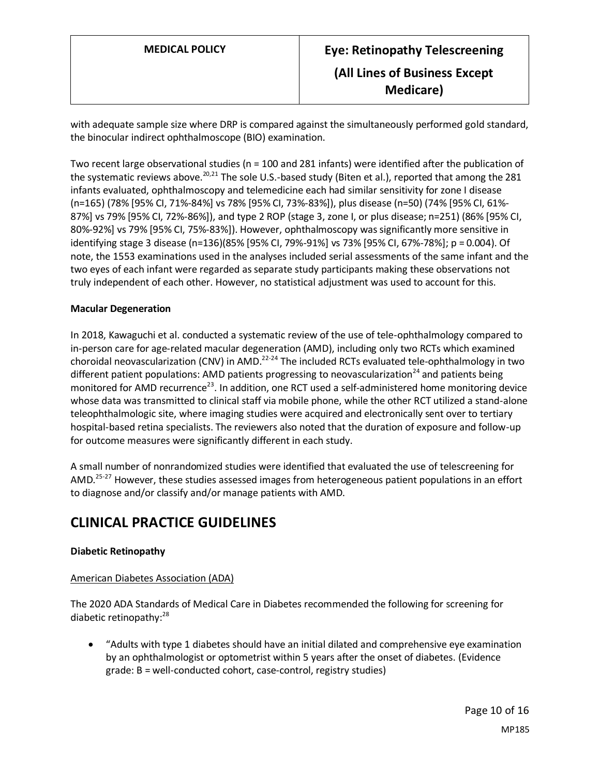with adequate sample size where DRP is compared against the simultaneously performed gold standard, the binocular indirect ophthalmoscope (BIO) examination.

Two recent large observational studies (n = 100 and 281 infants) were identified after the publication of the systematic reviews above.<sup>20,21</sup> The sole U.S.-based study (Biten et al.), reported that among the 281 infants evaluated, ophthalmoscopy and telemedicine each had similar sensitivity for zone I disease (n=165) (78% [95% CI, 71%-84%] vs 78% [95% CI, 73%-83%]), plus disease (n=50) (74% [95% CI, 61%- 87%] vs 79% [95% CI, 72%-86%]), and type 2 ROP (stage 3, zone I, or plus disease; n=251) (86% [95% CI, 80%-92%] vs 79% [95% CI, 75%-83%]). However, ophthalmoscopy was significantly more sensitive in identifying stage 3 disease (n=136)(85% [95% CI, 79%-91%] vs 73% [95% CI, 67%-78%]; p = 0.004). Of note, the 1553 examinations used in the analyses included serial assessments of the same infant and the two eyes of each infant were regarded as separate study participants making these observations not truly independent of each other. However, no statistical adjustment was used to account for this.

#### **Macular Degeneration**

In 2018, Kawaguchi et al. conducted a systematic review of the use of tele-ophthalmology compared to in-person care for age-related macular degeneration (AMD), including only two RCTs which examined choroidal neovascularization (CNV) in AMD.<sup>22-24</sup> The included RCTs evaluated tele-ophthalmology in two different patient populations: AMD patients progressing to neovascularization<sup>24</sup> and patients being monitored for AMD recurrence<sup>23</sup>. In addition, one RCT used a self-administered home monitoring device whose data was transmitted to clinical staff via mobile phone, while the other RCT utilized a stand-alone teleophthalmologic site, where imaging studies were acquired and electronically sent over to tertiary hospital-based retina specialists. The reviewers also noted that the duration of exposure and follow-up for outcome measures were significantly different in each study.

A small number of nonrandomized studies were identified that evaluated the use of telescreening for AMD.<sup>25-27</sup> However, these studies assessed images from heterogeneous patient populations in an effort to diagnose and/or classify and/or manage patients with AMD.

# **CLINICAL PRACTICE GUIDELINES**

### **Diabetic Retinopathy**

### American Diabetes Association (ADA)

The 2020 ADA Standards of Medical Care in Diabetes recommended the following for screening for diabetic retinopathy:<sup>28</sup>

• "Adults with type 1 diabetes should have an initial dilated and comprehensive eye examination by an ophthalmologist or optometrist within 5 years after the onset of diabetes. (Evidence grade: B = well-conducted cohort, case-control, registry studies)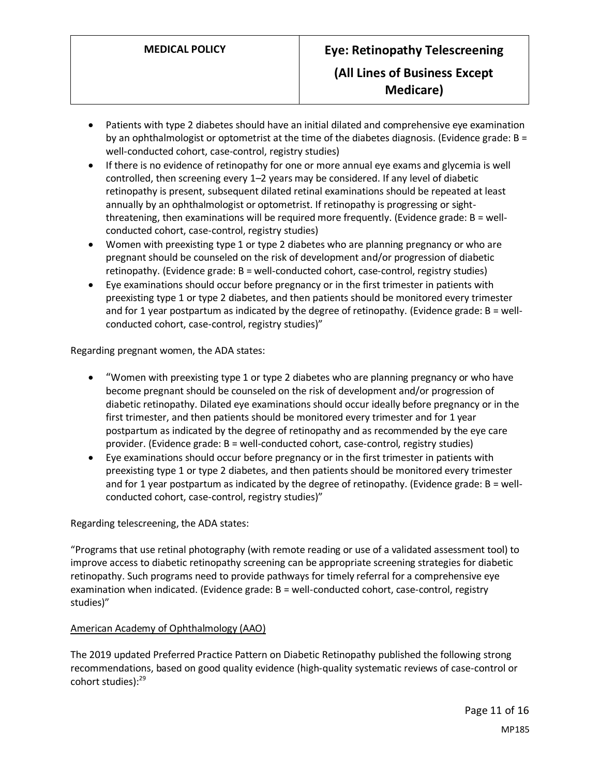- Patients with type 2 diabetes should have an initial dilated and comprehensive eye examination by an ophthalmologist or optometrist at the time of the diabetes diagnosis. (Evidence grade: B = well-conducted cohort, case-control, registry studies)
- If there is no evidence of retinopathy for one or more annual eye exams and glycemia is well controlled, then screening every 1–2 years may be considered. If any level of diabetic retinopathy is present, subsequent dilated retinal examinations should be repeated at least annually by an ophthalmologist or optometrist. If retinopathy is progressing or sightthreatening, then examinations will be required more frequently. (Evidence grade: B = wellconducted cohort, case-control, registry studies)
- Women with preexisting type 1 or type 2 diabetes who are planning pregnancy or who are pregnant should be counseled on the risk of development and/or progression of diabetic retinopathy. (Evidence grade: B = well-conducted cohort, case-control, registry studies)
- Eye examinations should occur before pregnancy or in the first trimester in patients with preexisting type 1 or type 2 diabetes, and then patients should be monitored every trimester and for 1 year postpartum as indicated by the degree of retinopathy. (Evidence grade: B = wellconducted cohort, case-control, registry studies)"

Regarding pregnant women, the ADA states:

- "Women with preexisting type 1 or type 2 diabetes who are planning pregnancy or who have become pregnant should be counseled on the risk of development and/or progression of diabetic retinopathy. Dilated eye examinations should occur ideally before pregnancy or in the first trimester, and then patients should be monitored every trimester and for 1 year postpartum as indicated by the degree of retinopathy and as recommended by the eye care provider. (Evidence grade: B = well-conducted cohort, case-control, registry studies)
- Eye examinations should occur before pregnancy or in the first trimester in patients with preexisting type 1 or type 2 diabetes, and then patients should be monitored every trimester and for 1 year postpartum as indicated by the degree of retinopathy. (Evidence grade: B = wellconducted cohort, case-control, registry studies)"

Regarding telescreening, the ADA states:

"Programs that use retinal photography (with remote reading or use of a validated assessment tool) to improve access to diabetic retinopathy screening can be appropriate screening strategies for diabetic retinopathy. Such programs need to provide pathways for timely referral for a comprehensive eye examination when indicated. (Evidence grade: B = well-conducted cohort, case-control, registry studies)"

### American Academy of Ophthalmology (AAO)

The 2019 updated Preferred Practice Pattern on Diabetic Retinopathy published the following strong recommendations, based on good quality evidence (high-quality systematic reviews of case-control or cohort studies): 29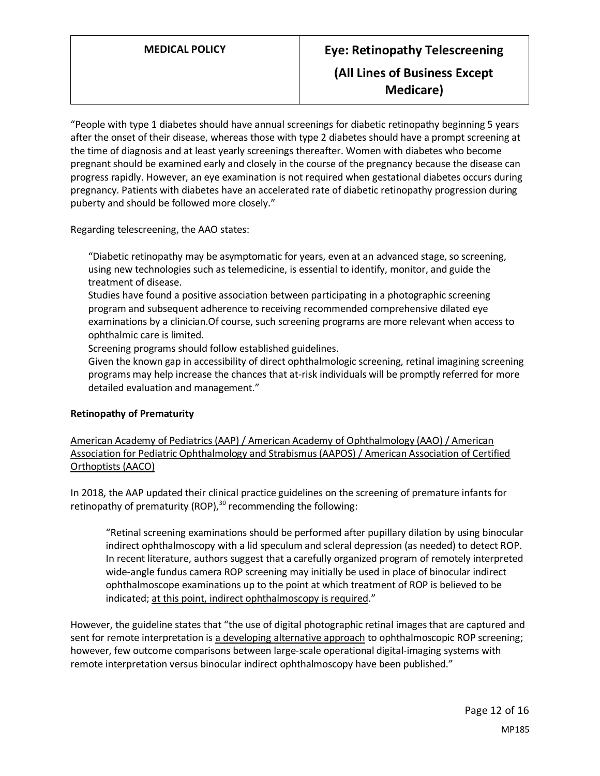# **MEDICAL POLICY Eye: Retinopathy Telescreening (All Lines of Business Except Medicare)**

"People with type 1 diabetes should have annual screenings for diabetic retinopathy beginning 5 years after the onset of their disease, whereas those with type 2 diabetes should have a prompt screening at the time of diagnosis and at least yearly screenings thereafter. Women with diabetes who become pregnant should be examined early and closely in the course of the pregnancy because the disease can progress rapidly. However, an eye examination is not required when gestational diabetes occurs during pregnancy. Patients with diabetes have an accelerated rate of diabetic retinopathy progression during puberty and should be followed more closely."

Regarding telescreening, the AAO states:

"Diabetic retinopathy may be asymptomatic for years, even at an advanced stage, so screening, using new technologies such as telemedicine, is essential to identify, monitor, and guide the treatment of disease.

Studies have found a positive association between participating in a photographic screening program and subsequent adherence to receiving recommended comprehensive dilated eye examinations by a clinician.Of course, such screening programs are more relevant when access to ophthalmic care is limited.

Screening programs should follow established guidelines.

Given the known gap in accessibility of direct ophthalmologic screening, retinal imagining screening programs may help increase the chances that at-risk individuals will be promptly referred for more detailed evaluation and management."

### **Retinopathy of Prematurity**

American Academy of Pediatrics (AAP) / American Academy of Ophthalmology (AAO) / American Association for Pediatric Ophthalmology and Strabismus (AAPOS) / American Association of Certified Orthoptists (AACO)

In 2018, the AAP updated their clinical practice guidelines on the screening of premature infants for retinopathy of prematurity (ROP), $30$  recommending the following:

"Retinal screening examinations should be performed after pupillary dilation by using binocular indirect ophthalmoscopy with a lid speculum and scleral depression (as needed) to detect ROP. In recent literature, authors suggest that a carefully organized program of remotely interpreted wide-angle fundus camera ROP screening may initially be used in place of binocular indirect ophthalmoscope examinations up to the point at which treatment of ROP is believed to be indicated; at this point, indirect ophthalmoscopy is required."

However, the guideline states that "the use of digital photographic retinal images that are captured and sent for remote interpretation is a developing alternative approach to ophthalmoscopic ROP screening; however, few outcome comparisons between large-scale operational digital-imaging systems with remote interpretation versus binocular indirect ophthalmoscopy have been published."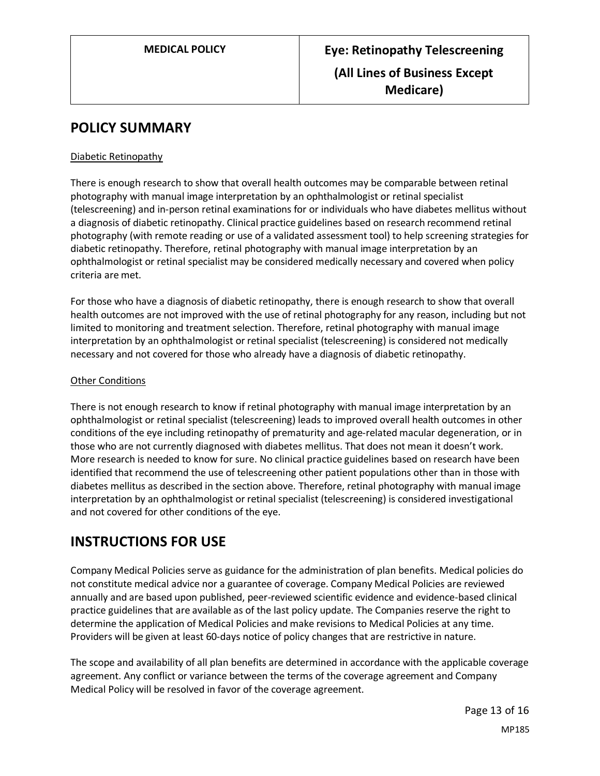# **POLICY SUMMARY**

### Diabetic Retinopathy

There is enough research to show that overall health outcomes may be comparable between retinal photography with manual image interpretation by an ophthalmologist or retinal specialist (telescreening) and in-person retinal examinations for or individuals who have diabetes mellitus without a diagnosis of diabetic retinopathy. Clinical practice guidelines based on research recommend retinal photography (with remote reading or use of a validated assessment tool) to help screening strategies for diabetic retinopathy. Therefore, retinal photography with manual image interpretation by an ophthalmologist or retinal specialist may be considered medically necessary and covered when policy criteria are met.

For those who have a diagnosis of diabetic retinopathy, there is enough research to show that overall health outcomes are not improved with the use of retinal photography for any reason, including but not limited to monitoring and treatment selection. Therefore, retinal photography with manual image interpretation by an ophthalmologist or retinal specialist (telescreening) is considered not medically necessary and not covered for those who already have a diagnosis of diabetic retinopathy.

#### Other Conditions

There is not enough research to know if retinal photography with manual image interpretation by an ophthalmologist or retinal specialist (telescreening) leads to improved overall health outcomes in other conditions of the eye including retinopathy of prematurity and age-related macular degeneration, or in those who are not currently diagnosed with diabetes mellitus. That does not mean it doesn't work. More research is needed to know for sure. No clinical practice guidelines based on research have been identified that recommend the use of telescreening other patient populations other than in those with diabetes mellitus as described in the section above. Therefore, retinal photography with manual image interpretation by an ophthalmologist or retinal specialist (telescreening) is considered investigational and not covered for other conditions of the eye.

# **INSTRUCTIONS FOR USE**

Company Medical Policies serve as guidance for the administration of plan benefits. Medical policies do not constitute medical advice nor a guarantee of coverage. Company Medical Policies are reviewed annually and are based upon published, peer-reviewed scientific evidence and evidence-based clinical practice guidelines that are available as of the last policy update. The Companies reserve the right to determine the application of Medical Policies and make revisions to Medical Policies at any time. Providers will be given at least 60-days notice of policy changes that are restrictive in nature.

The scope and availability of all plan benefits are determined in accordance with the applicable coverage agreement. Any conflict or variance between the terms of the coverage agreement and Company Medical Policy will be resolved in favor of the coverage agreement.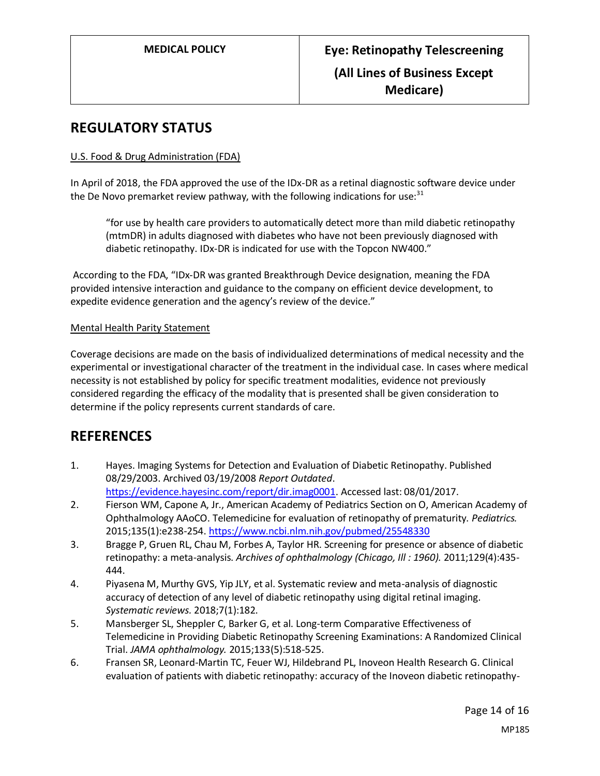# **REGULATORY STATUS**

### U.S. Food & Drug Administration (FDA)

In April of 2018, the FDA approved the use of the IDx-DR as a retinal diagnostic software device under the De Novo premarket review pathway, with the following indications for use: $31$ 

"for use by health care providers to automatically detect more than mild diabetic retinopathy (mtmDR) in adults diagnosed with diabetes who have not been previously diagnosed with diabetic retinopathy. IDx-DR is indicated for use with the Topcon NW400."

According to the FDA, "IDx-DR was granted Breakthrough Device designation, meaning the FDA provided intensive interaction and guidance to the company on efficient device development, to expedite evidence generation and the agency's review of the device."

### Mental Health Parity Statement

Coverage decisions are made on the basis of individualized determinations of medical necessity and the experimental or investigational character of the treatment in the individual case. In cases where medical necessity is not established by policy for specific treatment modalities, evidence not previously considered regarding the efficacy of the modality that is presented shall be given consideration to determine if the policy represents current standards of care.

# **REFERENCES**

- 1. Hayes. Imaging Systems for Detection and Evaluation of Diabetic Retinopathy. Published 08/29/2003. Archived 03/19/2008 *Report Outdated*. [https://evidence.hayesinc.com/report/dir.imag0001.](https://evidence.hayesinc.com/report/dir.imag0001) Accessed last: 08/01/2017.
- 2. Fierson WM, Capone A, Jr., American Academy of Pediatrics Section on O, American Academy of Ophthalmology AAoCO. Telemedicine for evaluation of retinopathy of prematurity. *Pediatrics.*  2015;135(1):e238-254[. https://www.ncbi.nlm.nih.gov/pubmed/25548330](https://www.ncbi.nlm.nih.gov/pubmed/25548330)
- 3. Bragge P, Gruen RL, Chau M, Forbes A, Taylor HR. Screening for presence or absence of diabetic retinopathy: a meta-analysis. *Archives of ophthalmology (Chicago, Ill : 1960).* 2011;129(4):435- 444.
- 4. Piyasena M, Murthy GVS, Yip JLY, et al. Systematic review and meta-analysis of diagnostic accuracy of detection of any level of diabetic retinopathy using digital retinal imaging. *Systematic reviews.* 2018;7(1):182.
- 5. Mansberger SL, Sheppler C, Barker G, et al. Long-term Comparative Effectiveness of Telemedicine in Providing Diabetic Retinopathy Screening Examinations: A Randomized Clinical Trial. *JAMA ophthalmology.* 2015;133(5):518-525.
- 6. Fransen SR, Leonard-Martin TC, Feuer WJ, Hildebrand PL, Inoveon Health Research G. Clinical evaluation of patients with diabetic retinopathy: accuracy of the Inoveon diabetic retinopathy-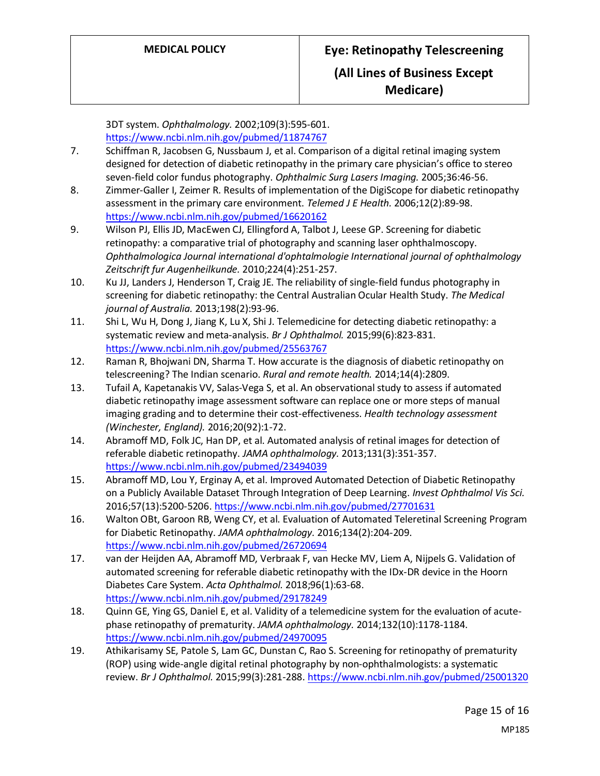3DT system. *Ophthalmology.* 2002;109(3):595-601. <https://www.ncbi.nlm.nih.gov/pubmed/11874767>

- 7. Schiffman R, Jacobsen G, Nussbaum J, et al. Comparison of a digital retinal imaging system designed for detection of diabetic retinopathy in the primary care physician's office to stereo seven-field color fundus photography. *Ophthalmic Surg Lasers Imaging.* 2005;36:46-56.
- 8. Zimmer-Galler I, Zeimer R. Results of implementation of the DigiScope for diabetic retinopathy assessment in the primary care environment. *Telemed J E Health.* 2006;12(2):89-98. <https://www.ncbi.nlm.nih.gov/pubmed/16620162>
- 9. Wilson PJ, Ellis JD, MacEwen CJ, Ellingford A, Talbot J, Leese GP. Screening for diabetic retinopathy: a comparative trial of photography and scanning laser ophthalmoscopy. *Ophthalmologica Journal international d'ophtalmologie International journal of ophthalmology Zeitschrift fur Augenheilkunde.* 2010;224(4):251-257.
- 10. Ku JJ, Landers J, Henderson T, Craig JE. The reliability of single-field fundus photography in screening for diabetic retinopathy: the Central Australian Ocular Health Study. *The Medical journal of Australia.* 2013;198(2):93-96.
- 11. Shi L, Wu H, Dong J, Jiang K, Lu X, Shi J. Telemedicine for detecting diabetic retinopathy: a systematic review and meta-analysis. *Br J Ophthalmol.* 2015;99(6):823-831. <https://www.ncbi.nlm.nih.gov/pubmed/25563767>
- 12. Raman R, Bhojwani DN, Sharma T. How accurate is the diagnosis of diabetic retinopathy on telescreening? The Indian scenario. *Rural and remote health.* 2014;14(4):2809.
- 13. Tufail A, Kapetanakis VV, Salas-Vega S, et al. An observational study to assess if automated diabetic retinopathy image assessment software can replace one or more steps of manual imaging grading and to determine their cost-effectiveness. *Health technology assessment (Winchester, England).* 2016;20(92):1-72.
- 14. Abramoff MD, Folk JC, Han DP, et al. Automated analysis of retinal images for detection of referable diabetic retinopathy. *JAMA ophthalmology.* 2013;131(3):351-357. <https://www.ncbi.nlm.nih.gov/pubmed/23494039>
- 15. Abramoff MD, Lou Y, Erginay A, et al. Improved Automated Detection of Diabetic Retinopathy on a Publicly Available Dataset Through Integration of Deep Learning. *Invest Ophthalmol Vis Sci.*  2016;57(13):5200-5206[. https://www.ncbi.nlm.nih.gov/pubmed/27701631](https://www.ncbi.nlm.nih.gov/pubmed/27701631)
- 16. Walton OBt, Garoon RB, Weng CY, et al. Evaluation of Automated Teleretinal Screening Program for Diabetic Retinopathy. *JAMA ophthalmology.* 2016;134(2):204-209. <https://www.ncbi.nlm.nih.gov/pubmed/26720694>
- 17. van der Heijden AA, Abramoff MD, Verbraak F, van Hecke MV, Liem A, Nijpels G. Validation of automated screening for referable diabetic retinopathy with the IDx-DR device in the Hoorn Diabetes Care System. *Acta Ophthalmol.* 2018;96(1):63-68. <https://www.ncbi.nlm.nih.gov/pubmed/29178249>
- 18. Quinn GE, Ying GS, Daniel E, et al. Validity of a telemedicine system for the evaluation of acutephase retinopathy of prematurity. *JAMA ophthalmology.* 2014;132(10):1178-1184. <https://www.ncbi.nlm.nih.gov/pubmed/24970095>
- 19. Athikarisamy SE, Patole S, Lam GC, Dunstan C, Rao S. Screening for retinopathy of prematurity (ROP) using wide-angle digital retinal photography by non-ophthalmologists: a systematic review. *Br J Ophthalmol.* 2015;99(3):281-288[. https://www.ncbi.nlm.nih.gov/pubmed/25001320](https://www.ncbi.nlm.nih.gov/pubmed/25001320)